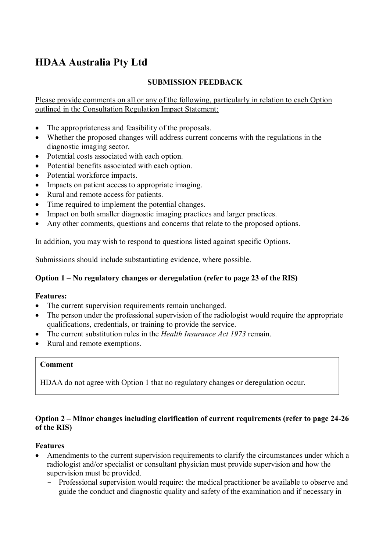## **HDAA Australia Pty Ltd**

## **SUBMISSION FEEDBACK**

Please provide comments on all or any of the following, particularly in relation to each Option outlined in the Consultation Regulation Impact Statement:

- The appropriateness and feasibility of the proposals.
- Whether the proposed changes will address current concerns with the regulations in the diagnostic imaging sector.
- Potential costs associated with each option.
- Potential benefits associated with each option.
- Potential workforce impacts.
- Impacts on patient access to appropriate imaging.
- Rural and remote access for patients.
- Time required to implement the potential changes.
- Impact on both smaller diagnostic imaging practices and larger practices.
- Any other comments, questions and concerns that relate to the proposed options.

In addition, you may wish to respond to questions listed against specific Options.

Submissions should include substantiating evidence, where possible.

## **Option 1 – No regulatory changes or deregulation (refer to page 23 of the RIS)**

## **Features:**

- The current supervision requirements remain unchanged.
- The person under the professional supervision of the radiologist would require the appropriate qualifications, credentials, or training to provide the service.
- The current substitution rules in the *Health Insurance Act 1973* remain.
- Rural and remote exemptions.

#### **Comment**

HDAA do not agree with Option 1 that no regulatory changes or deregulation occur.

## **Option 2 – Minor changes including clarification of current requirements (refer to page 24-26 of the RIS)**

## **Features**

- Amendments to the current supervision requirements to clarify the circumstances under which a radiologist and/or specialist or consultant physician must provide supervision and how the supervision must be provided.
	- Professional supervision would require: the medical practitioner be available to observe and guide the conduct and diagnostic quality and safety of the examination and if necessary in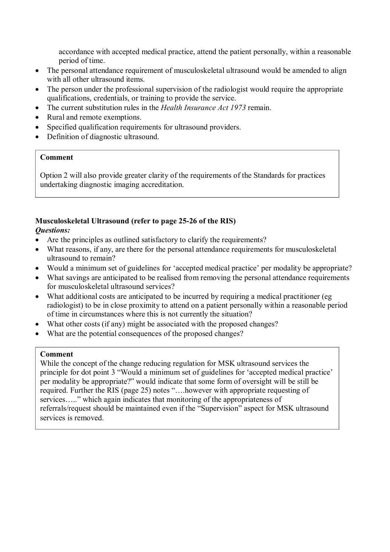accordance with accepted medical practice, attend the patient personally, within a reasonable period of time.

- The personal attendance requirement of musculoskeletal ultrasound would be amended to align with all other ultrasound items.
- The person under the professional supervision of the radiologist would require the appropriate qualifications, credentials, or training to provide the service.
- The current substitution rules in the *Health Insurance Act 1973* remain.
- Rural and remote exemptions.
- Specified qualification requirements for ultrasound providers.
- Definition of diagnostic ultrasound.

## **Comment**

Option 2 will also provide greater clarity of the requirements of the Standards for practices undertaking diagnostic imaging accreditation.

# **Musculoskeletal Ultrasound (refer to page 25-26 of the RIS)**

## *Questions:*

- Are the principles as outlined satisfactory to clarify the requirements?
- What reasons, if any, are there for the personal attendance requirements for musculoskeletal ultrasound to remain?
- Would a minimum set of guidelines for 'accepted medical practice' per modality be appropriate?
- What savings are anticipated to be realised from removing the personal attendance requirements for musculoskeletal ultrasound services?
- What additional costs are anticipated to be incurred by requiring a medical practitioner (eg radiologist) to be in close proximity to attend on a patient personally within a reasonable period of time in circumstances where this is not currently the situation?
- What other costs (if any) might be associated with the proposed changes?
- What are the potential consequences of the proposed changes?

## **Comment**

While the concept of the change reducing regulation for MSK ultrasound services the principle for dot point 3 "Would a minimum set of guidelines for 'accepted medical practice' per modality be appropriate?" would indicate that some form of oversight will be still be required. Further the RIS (page 25) notes "….however with appropriate requesting of services….." which again indicates that monitoring of the appropriateness of referrals/request should be maintained even if the "Supervision" aspect for MSK ultrasound services is removed.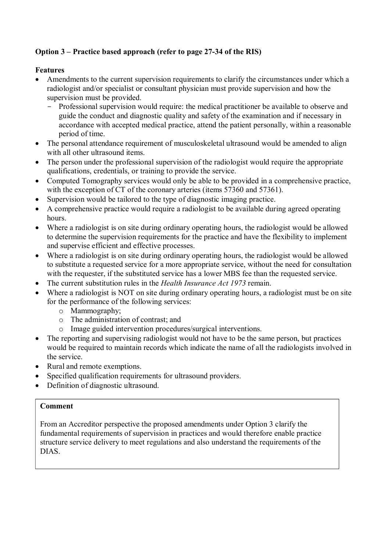## **Option 3 – Practice based approach (refer to page 27-34 of the RIS)**

## **Features**

- Amendments to the current supervision requirements to clarify the circumstances under which a radiologist and/or specialist or consultant physician must provide supervision and how the supervision must be provided.
	- Professional supervision would require: the medical practitioner be available to observe and guide the conduct and diagnostic quality and safety of the examination and if necessary in accordance with accepted medical practice, attend the patient personally, within a reasonable period of time.
- The personal attendance requirement of musculoskeletal ultrasound would be amended to align with all other ultrasound items.
- The person under the professional supervision of the radiologist would require the appropriate qualifications, credentials, or training to provide the service.
- Computed Tomography services would only be able to be provided in a comprehensive practice, with the exception of CT of the coronary arteries (items 57360 and 57361).
- Supervision would be tailored to the type of diagnostic imaging practice.
- A comprehensive practice would require a radiologist to be available during agreed operating hours.
- Where a radiologist is on site during ordinary operating hours, the radiologist would be allowed to determine the supervision requirements for the practice and have the flexibility to implement and supervise efficient and effective processes.
- Where a radiologist is on site during ordinary operating hours, the radiologist would be allowed to substitute a requested service for a more appropriate service, without the need for consultation with the requester, if the substituted service has a lower MBS fee than the requested service.
- The current substitution rules in the *Health Insurance Act 1973* remain.
- Where a radiologist is NOT on site during ordinary operating hours, a radiologist must be on site for the performance of the following services:
	- o Mammography;
	- o The administration of contrast; and
	- o Image guided intervention procedures/surgical interventions.
- The reporting and supervising radiologist would not have to be the same person, but practices would be required to maintain records which indicate the name of all the radiologists involved in the service.
- Rural and remote exemptions.
- Specified qualification requirements for ultrasound providers.
- Definition of diagnostic ultrasound.

## **Comment**

From an Accreditor perspective the proposed amendments under Option 3 clarify the fundamental requirements of supervision in practices and would therefore enable practice structure service delivery to meet regulations and also understand the requirements of the DIAS.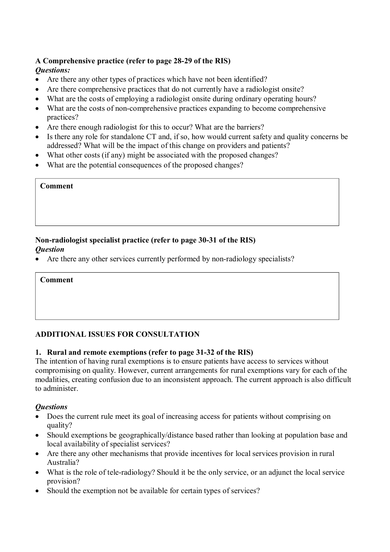## **A Comprehensive practice (refer to page 28-29 of the RIS)**

## *Questions:*

- Are there any other types of practices which have not been identified?
- Are there comprehensive practices that do not currently have a radiologist onsite?
- What are the costs of employing a radiologist onsite during ordinary operating hours?
- What are the costs of non-comprehensive practices expanding to become comprehensive practices?
- Are there enough radiologist for this to occur? What are the barriers?
- Is there any role for standalone CT and, if so, how would current safety and quality concerns be addressed? What will be the impact of this change on providers and patients?
- What other costs (if any) might be associated with the proposed changes?
- What are the potential consequences of the proposed changes?

#### **Comment**

## **Non-radiologist specialist practice (refer to page 30-31 of the RIS)**  *Question*

• Are there any other services currently performed by non-radiology specialists?

**Comment** 

## **ADDITIONAL ISSUES FOR CONSULTATION**

## **1. Rural and remote exemptions (refer to page 31-32 of the RIS)**

The intention of having rural exemptions is to ensure patients have access to services without compromising on quality. However, current arrangements for rural exemptions vary for each of the modalities, creating confusion due to an inconsistent approach. The current approach is also difficult to administer.

## *Questions*

- Does the current rule meet its goal of increasing access for patients without comprising on quality?
- Should exemptions be geographically/distance based rather than looking at population base and local availability of specialist services?
- Are there any other mechanisms that provide incentives for local services provision in rural Australia?
- What is the role of tele-radiology? Should it be the only service, or an adjunct the local service provision?
- Should the exemption not be available for certain types of services?